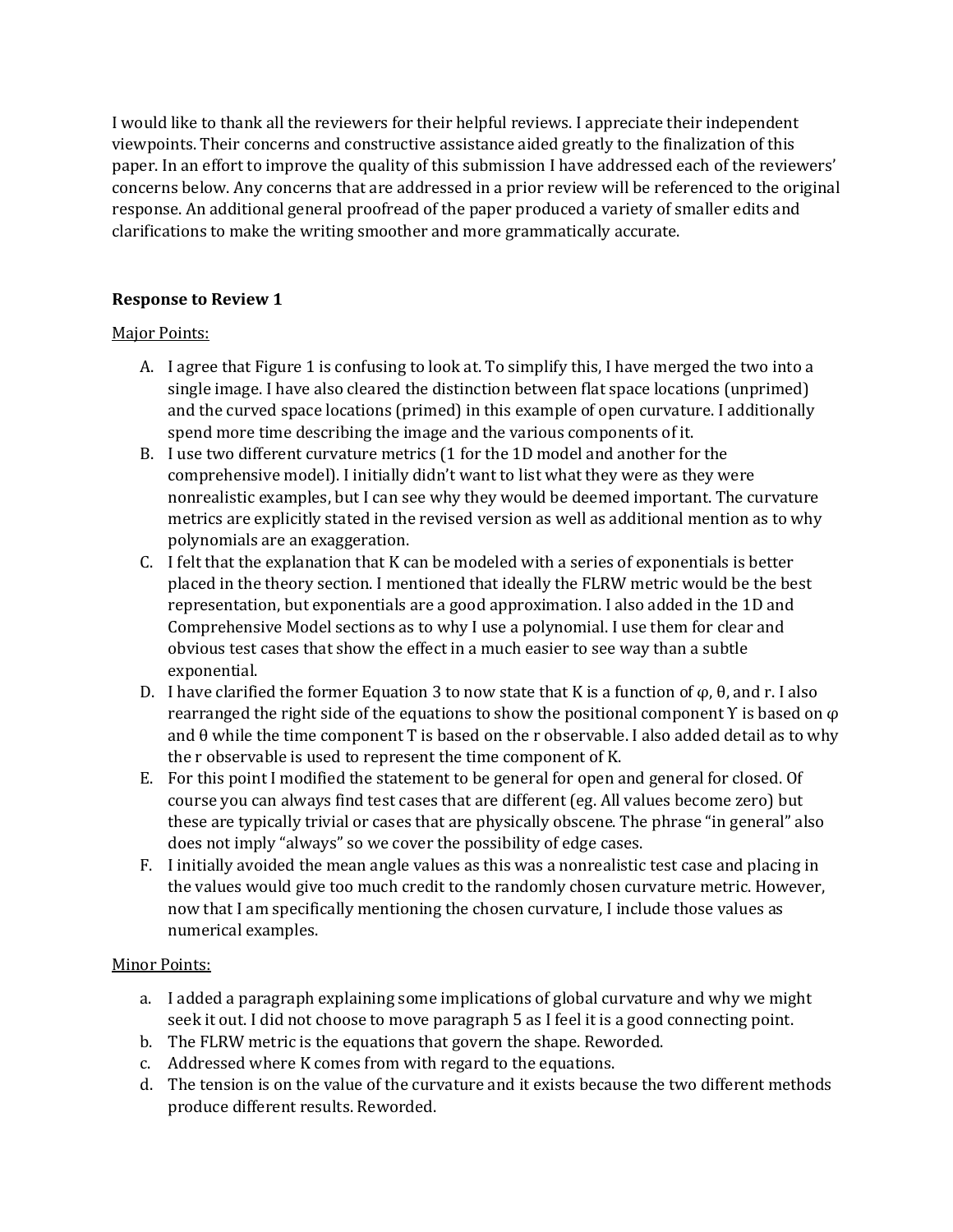I would like to thank all the reviewers for their helpful reviews. I appreciate their independent viewpoints. Their concerns and constructive assistance aided greatly to the finalization of this paper. In an effort to improve the quality of this submission I have addressed each of the reviewers' concerns below. Any concerns that are addressed in a prior review will be referenced to the original response. An additional general proofread of the paper produced a variety of smaller edits and clarifications to make the writing smoother and more grammatically accurate.

## **Response to Review 1**

## Major Points:

- A. I agree that Figure 1 is confusing to look at. To simplify this, I have merged the two into a single image. I have also cleared the distinction between flat space locations (unprimed) and the curved space locations (primed) in this example of open curvature. I additionally spend more time describing the image and the various components of it.
- B. I use two different curvature metrics (1 for the 1D model and another for the comprehensive model). I initially didn't want to list what they were as they were nonrealistic examples, but I can see why they would be deemed important. The curvature metrics are explicitly stated in the revised version as well as additional mention as to why polynomials are an exaggeration.
- C. I felt that the explanation that K can be modeled with a series of exponentials is better placed in the theory section. I mentioned that ideally the FLRW metric would be the best representation, but exponentials are a good approximation. I also added in the 1D and Comprehensive Model sections as to why I use a polynomial. I use them for clear and obvious test cases that show the effect in a much easier to see way than a subtle exponential.
- D. I have clarified the former Equation 3 to now state that K is a function of  $φ$ ,  $θ$ , and r. I also rearranged the right side of the equations to show the positional component  $\Upsilon$  is based on  $\varphi$ and θ while the time component T is based on the r observable. I also added detail as to why the r observable is used to represent the time component of K.
- E. For this point I modified the statement to be general for open and general for closed. Of course you can always find test cases that are different (eg. All values become zero) but these are typically trivial or cases that are physically obscene. The phrase "in general" also does not imply "always" so we cover the possibility of edge cases.
- F. I initially avoided the mean angle values as this was a nonrealistic test case and placing in the values would give too much credit to the randomly chosen curvature metric. However, now that I am specifically mentioning the chosen curvature, I include those values as numerical examples.

- a. I added a paragraph explaining some implications of global curvature and why we might seek it out. I did not choose to move paragraph 5 as I feel it is a good connecting point.
- b. The FLRW metric is the equations that govern the shape. Reworded.
- c. Addressed where K comes from with regard to the equations.
- d. The tension is on the value of the curvature and it exists because the two different methods produce different results. Reworded.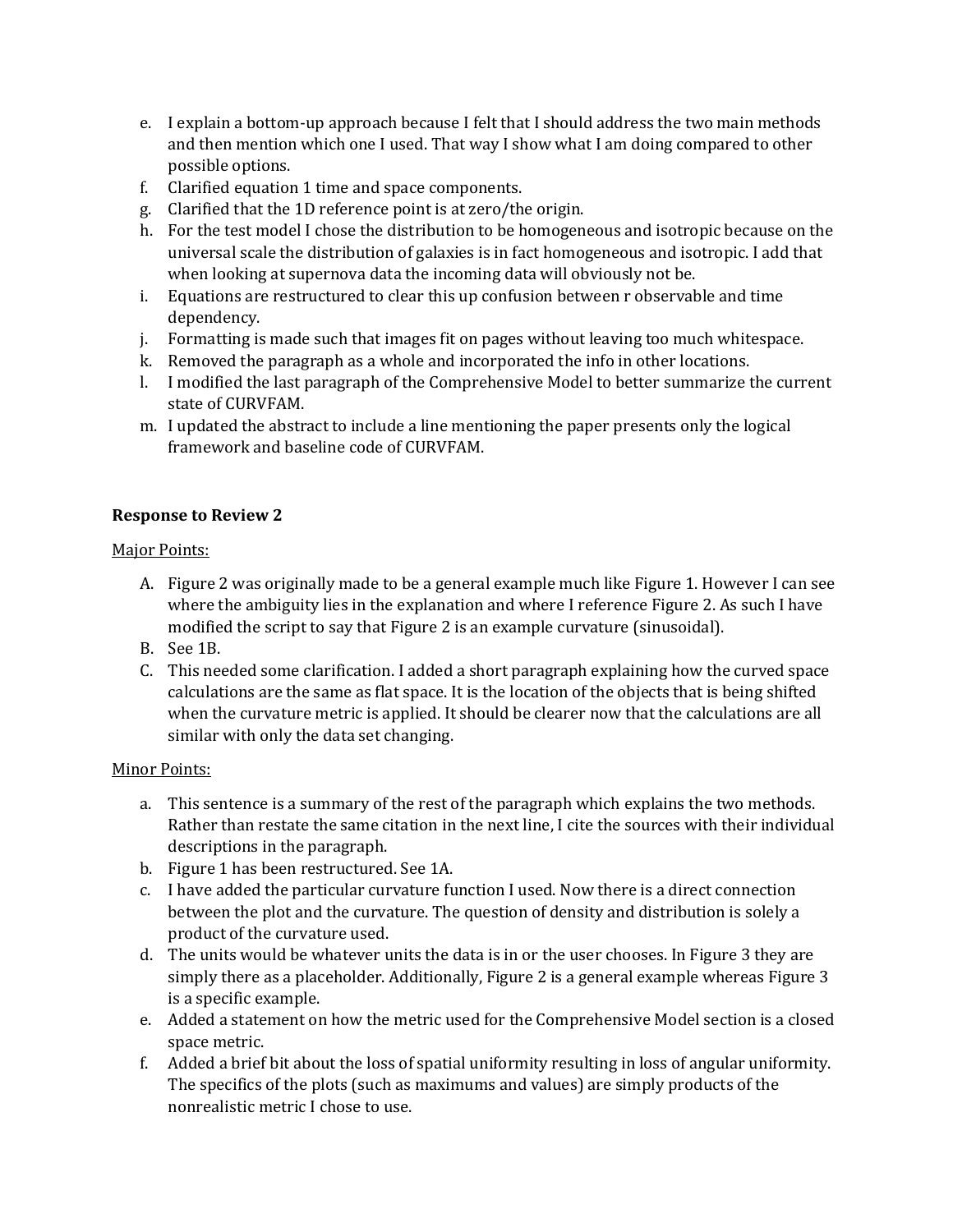- e. I explain a bottom-up approach because I felt that I should address the two main methods and then mention which one I used. That way I show what I am doing compared to other possible options.
- f. Clarified equation 1 time and space components.
- g. Clarified that the 1D reference point is at zero/the origin.
- h. For the test model I chose the distribution to be homogeneous and isotropic because on the universal scale the distribution of galaxies is in fact homogeneous and isotropic. I add that when looking at supernova data the incoming data will obviously not be.
- i. Equations are restructured to clear this up confusion between r observable and time dependency.
- j. Formatting is made such that images fit on pages without leaving too much whitespace.
- k. Removed the paragraph as a whole and incorporated the info in other locations.
- l. I modified the last paragraph of the Comprehensive Model to better summarize the current state of CURVFAM.
- m. I updated the abstract to include a line mentioning the paper presents only the logical framework and baseline code of CURVFAM.

## **Response to Review 2**

### Major Points:

- A. Figure 2 was originally made to be a general example much like Figure 1. However I can see where the ambiguity lies in the explanation and where I reference Figure 2. As such I have modified the script to say that Figure 2 is an example curvature (sinusoidal).
- B. See 1B.
- C. This needed some clarification. I added a short paragraph explaining how the curved space calculations are the same as flat space. It is the location of the objects that is being shifted when the curvature metric is applied. It should be clearer now that the calculations are all similar with only the data set changing.

- a. This sentence is a summary of the rest of the paragraph which explains the two methods. Rather than restate the same citation in the next line, I cite the sources with their individual descriptions in the paragraph.
- b. Figure 1 has been restructured. See 1A.
- c. I have added the particular curvature function I used. Now there is a direct connection between the plot and the curvature. The question of density and distribution is solely a product of the curvature used.
- d. The units would be whatever units the data is in or the user chooses. In Figure 3 they are simply there as a placeholder. Additionally, Figure 2 is a general example whereas Figure 3 is a specific example.
- e. Added a statement on how the metric used for the Comprehensive Model section is a closed space metric.
- f. Added a brief bit about the loss of spatial uniformity resulting in loss of angular uniformity. The specifics of the plots (such as maximums and values) are simply products of the nonrealistic metric I chose to use.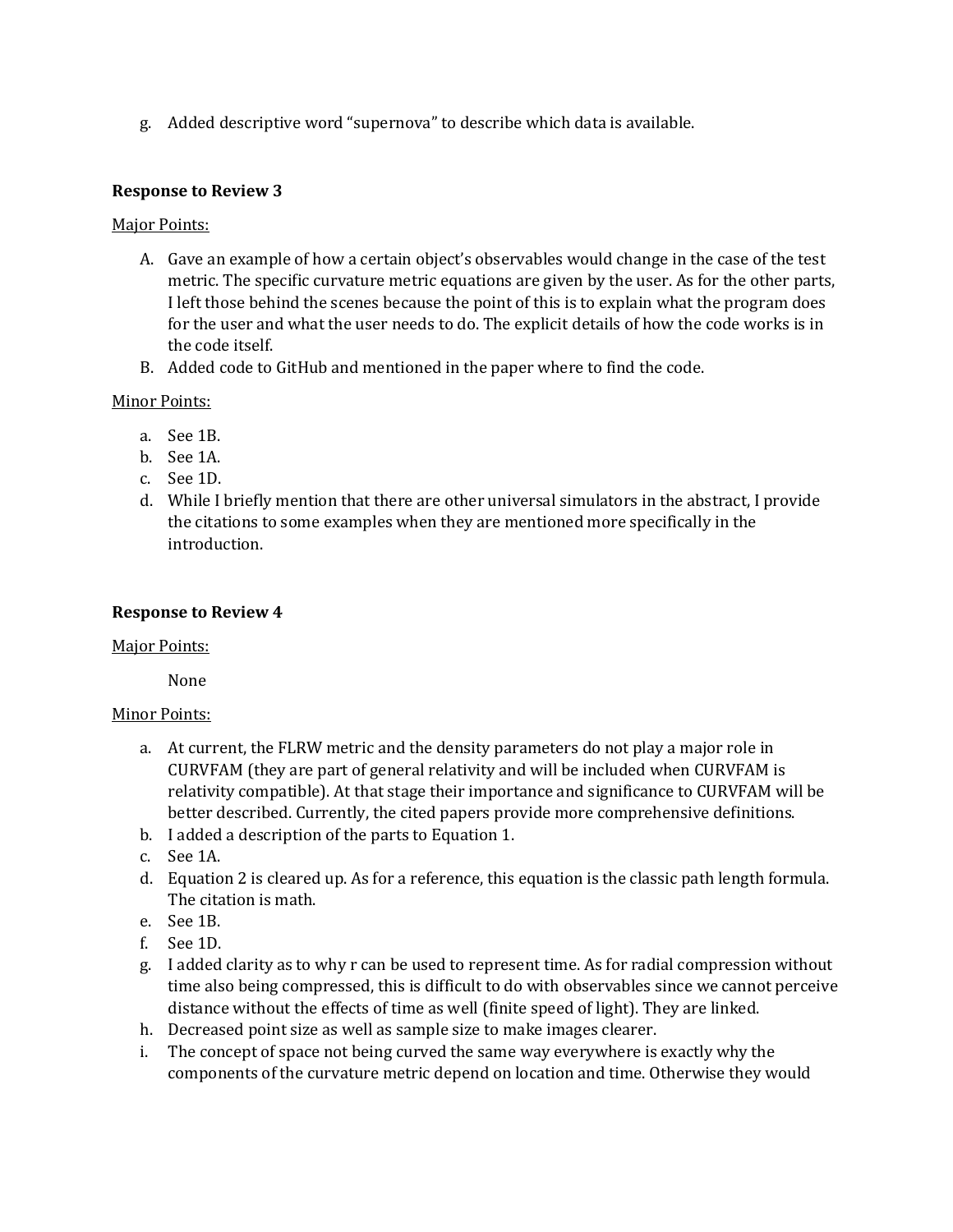g. Added descriptive word "supernova" to describe which data is available.

### **Response to Review 3**

### Major Points:

- A. Gave an example of how a certain object's observables would change in the case of the test metric. The specific curvature metric equations are given by the user. As for the other parts, I left those behind the scenes because the point of this is to explain what the program does for the user and what the user needs to do. The explicit details of how the code works is in the code itself.
- B. Added code to GitHub and mentioned in the paper where to find the code.

## Minor Points:

- a. See 1B.
- b. See 1A.
- c. See 1D.
- d. While I briefly mention that there are other universal simulators in the abstract, I provide the citations to some examples when they are mentioned more specifically in the introduction.

### **Response to Review 4**

#### Major Points:

None

- a. At current, the FLRW metric and the density parameters do not play a major role in CURVFAM (they are part of general relativity and will be included when CURVFAM is relativity compatible). At that stage their importance and significance to CURVFAM will be better described. Currently, the cited papers provide more comprehensive definitions.
- b. I added a description of the parts to Equation 1.
- c. See 1A.
- d. Equation 2 is cleared up. As for a reference, this equation is the classic path length formula. The citation is math.
- e. See 1B.
- f. See 1D.
- g. I added clarity as to why r can be used to represent time. As for radial compression without time also being compressed, this is difficult to do with observables since we cannot perceive distance without the effects of time as well (finite speed of light). They are linked.
- h. Decreased point size as well as sample size to make images clearer.
- i. The concept of space not being curved the same way everywhere is exactly why the components of the curvature metric depend on location and time. Otherwise they would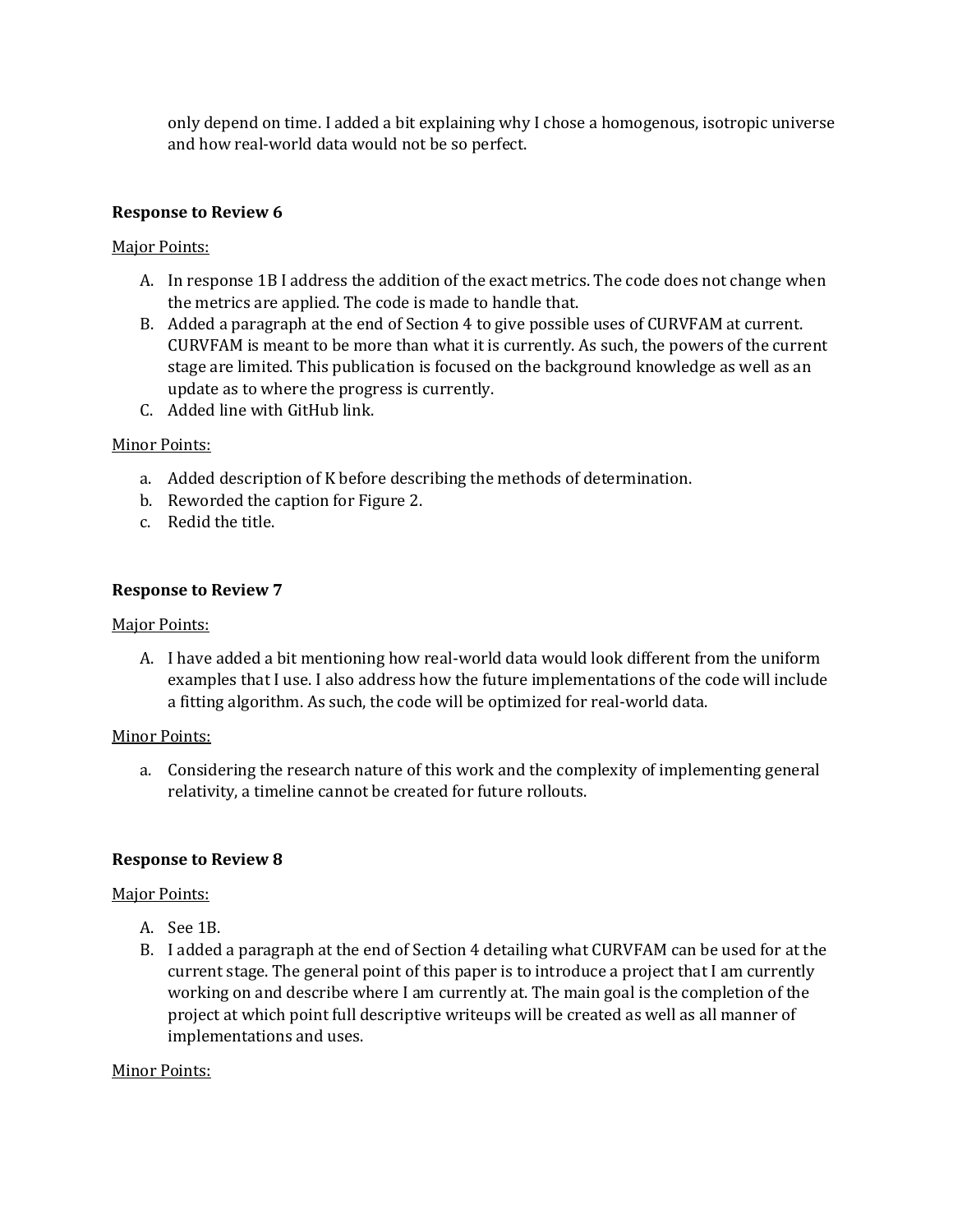only depend on time. I added a bit explaining why I chose a homogenous, isotropic universe and how real-world data would not be so perfect.

## **Response to Review 6**

### Major Points:

- A. In response 1B I address the addition of the exact metrics. The code does not change when the metrics are applied. The code is made to handle that.
- B. Added a paragraph at the end of Section 4 to give possible uses of CURVFAM at current. CURVFAM is meant to be more than what it is currently. As such, the powers of the current stage are limited. This publication is focused on the background knowledge as well as an update as to where the progress is currently.
- C. Added line with GitHub link.

### Minor Points:

- a. Added description of K before describing the methods of determination.
- b. Reworded the caption for Figure 2.
- c. Redid the title.

### **Response to Review 7**

#### Major Points:

A. I have added a bit mentioning how real-world data would look different from the uniform examples that I use. I also address how the future implementations of the code will include a fitting algorithm. As such, the code will be optimized for real-world data.

#### Minor Points:

a. Considering the research nature of this work and the complexity of implementing general relativity, a timeline cannot be created for future rollouts.

## **Response to Review 8**

#### Major Points:

- A. See 1B.
- B. I added a paragraph at the end of Section 4 detailing what CURVFAM can be used for at the current stage. The general point of this paper is to introduce a project that I am currently working on and describe where I am currently at. The main goal is the completion of the project at which point full descriptive writeups will be created as well as all manner of implementations and uses.